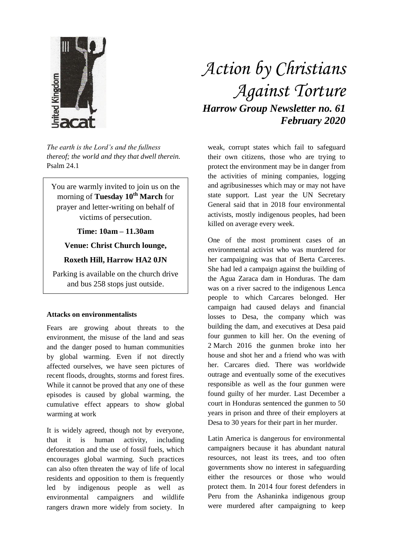

*The earth is the Lord's and the fullness thereof; the world and they that dwell therein.* Psalm 24.1

You are warmly invited to join us on the morning of **Tuesday 10th March** for prayer and letter-writing on behalf of victims of persecution.

**Time: 10am – 11.30am**

## **Venue: Christ Church lounge,**

## **Roxeth Hill, Harrow HA2 0JN**

Parking is available on the church drive and bus 258 stops just outside.

## **Attacks on environmentalists**

Fears are growing about threats to the environment, the misuse of the land and seas and the danger posed to human communities by global warming. Even if not directly affected ourselves, we have seen pictures of recent floods, droughts, storms and forest fires. While it cannot be proved that any one of these episodes is caused by global warming, the cumulative effect appears to show global warming at work

It is widely agreed, though not by everyone, that it is human activity, including deforestation and the use of fossil fuels, which encourages global warming. Such practices can also often threaten the way of life of local residents and opposition to them is frequently led by indigenous people as well as environmental campaigners and wildlife rangers drawn more widely from society. In

## *Action by Christians Against Torture Harrow Group Newsletter no. 61 February 2020*

weak, corrupt states which fail to safeguard their own citizens, those who are trying to protect the environment may be in danger from the activities of mining companies, logging and agribusinesses which may or may not have state support. Last year the UN Secretary General said that in 2018 four environmental activists, mostly indigenous peoples, had been killed on average every week.

One of the most prominent cases of an environmental activist who was murdered for her campaigning was that of Berta Carceres. She had led a campaign against the building of the Agua Zaraca dam in Honduras. The dam was on a river sacred to the indigenous Lenca people to which Carcares belonged. Her campaign had caused delays and financial losses to Desa, the company which was building the dam, and executives at Desa paid four gunmen to kill her. On the evening of 2 March 2016 the gunmen broke into her house and shot her and a friend who was with her. Carcares died. There was worldwide outrage and eventually some of the executives responsible as well as the four gunmen were found guilty of her murder. Last December a court in Honduras sentenced the gunmen to 50 years in prison and three of their employers at Desa to 30 years for their part in her murder.

Latin America is dangerous for environmental campaigners because it has abundant natural resources, not least its trees, and too often governments show no interest in safeguarding either the resources or those who would protect them. In 2014 four forest defenders in Peru from the Ashaninka indigenous group were murdered after campaigning to keep